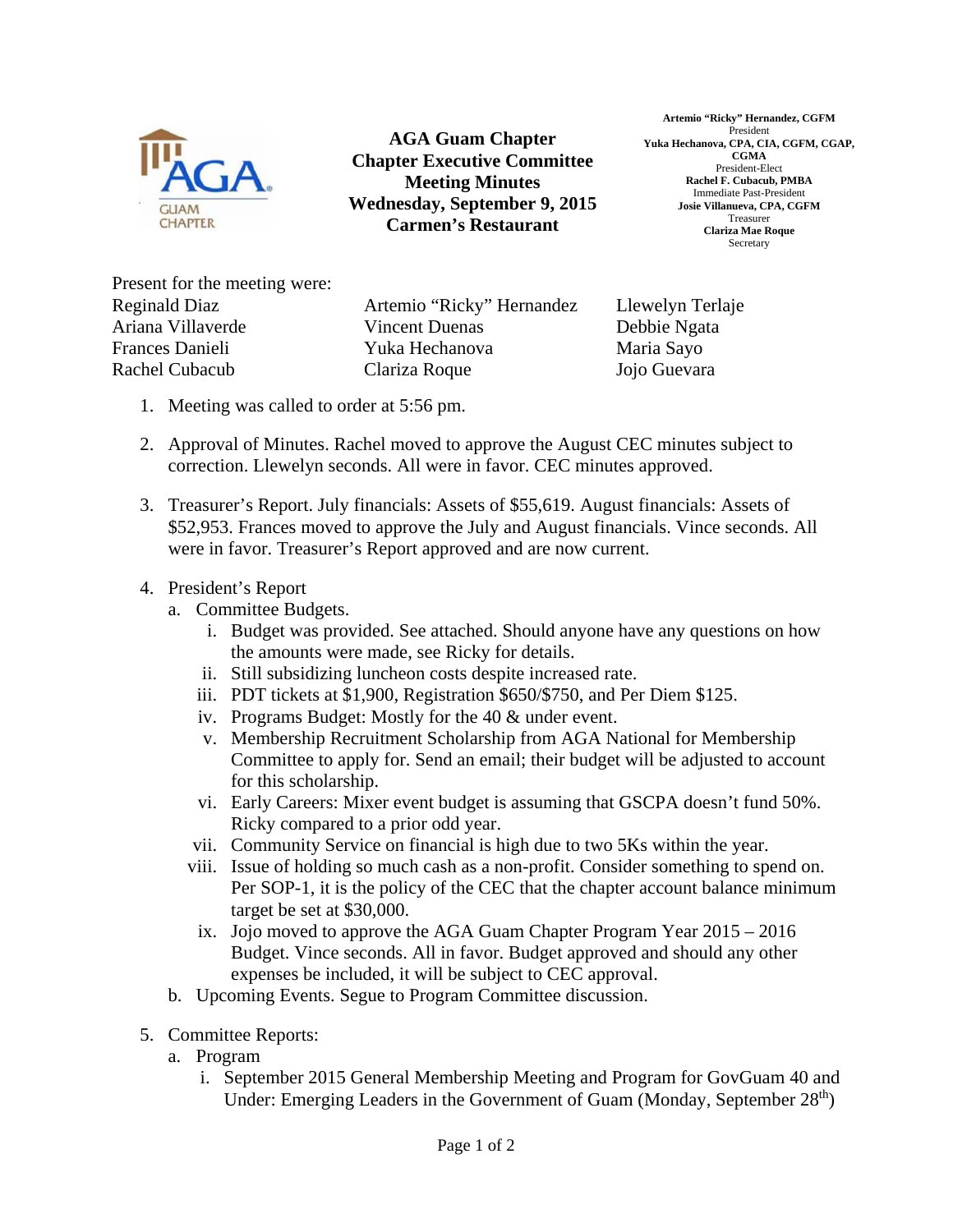

**AGA Guam Chapter Chapter Executive Committee Meeting Minutes Wednesday, September 9, 2015 Carmen's Restaurant** 

**Artemio "Ricky" Hernandez, CGFM**  President **Yuka Hechanova, CPA, CIA, CGFM, CGAP, CGMA**  President-Elect **Rachel F. Cubacub, PMBA**  Immediate Past-President **Josie Villanueva, CPA, CGFM**  Treasurer **Clariza Mae Roque**  Secretary

Present for the meeting were: Reginald Diaz Ariana Villaverde Frances Danieli Rachel Cubacub

Artemio "Ricky" Hernandez Vincent Duenas Yuka Hechanova Clariza Roque

Llewelyn Terlaje Debbie Ngata Maria Sayo Jojo Guevara

- 1. Meeting was called to order at 5:56 pm.
- 2. Approval of Minutes. Rachel moved to approve the August CEC minutes subject to correction. Llewelyn seconds. All were in favor. CEC minutes approved.
- 3. Treasurer's Report. July financials: Assets of \$55,619. August financials: Assets of \$52,953. Frances moved to approve the July and August financials. Vince seconds. All were in favor. Treasurer's Report approved and are now current.
- 4. President's Report
	- a. Committee Budgets.
		- i. Budget was provided. See attached. Should anyone have any questions on how the amounts were made, see Ricky for details.
		- ii. Still subsidizing luncheon costs despite increased rate.
		- iii. PDT tickets at \$1,900, Registration \$650/\$750, and Per Diem \$125.
		- iv. Programs Budget: Mostly for the 40 & under event.
		- v. Membership Recruitment Scholarship from AGA National for Membership Committee to apply for. Send an email; their budget will be adjusted to account for this scholarship.
		- vi. Early Careers: Mixer event budget is assuming that GSCPA doesn't fund 50%. Ricky compared to a prior odd year.
		- vii. Community Service on financial is high due to two 5Ks within the year.
		- viii. Issue of holding so much cash as a non-profit. Consider something to spend on. Per SOP-1, it is the policy of the CEC that the chapter account balance minimum target be set at \$30,000.
		- ix. Jojo moved to approve the AGA Guam Chapter Program Year 2015 2016 Budget. Vince seconds. All in favor. Budget approved and should any other expenses be included, it will be subject to CEC approval.
	- b. Upcoming Events. Segue to Program Committee discussion.
- 5. Committee Reports:
	- a. Program
		- i. September 2015 General Membership Meeting and Program for GovGuam 40 and Under: Emerging Leaders in the Government of Guam (Monday, September 28<sup>th</sup>)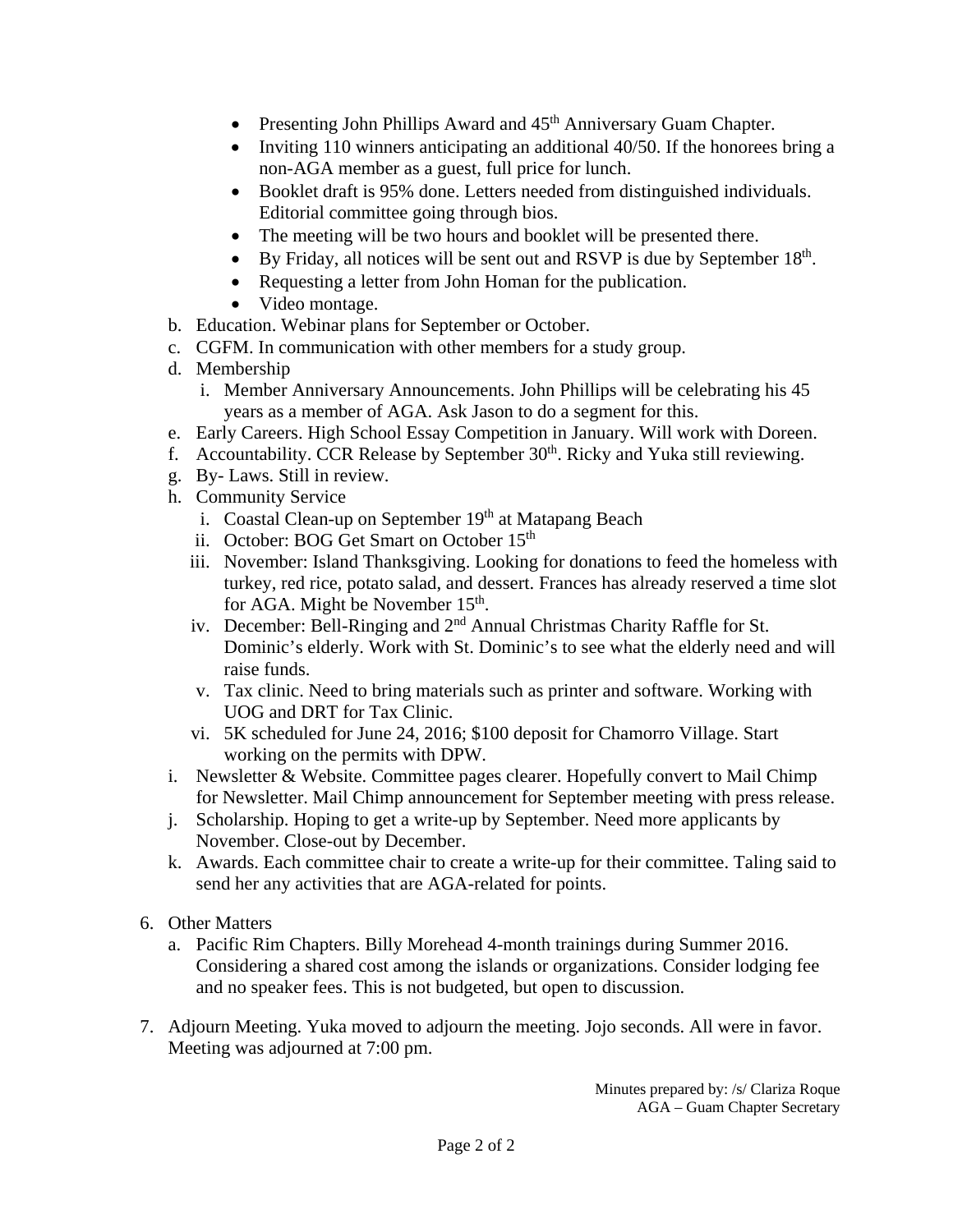- Presenting John Phillips Award and  $45<sup>th</sup>$  Anniversary Guam Chapter.
- Inviting 110 winners anticipating an additional  $40/50$ . If the honorees bring a non-AGA member as a guest, full price for lunch.
- Booklet draft is 95% done. Letters needed from distinguished individuals. Editorial committee going through bios.
- The meeting will be two hours and booklet will be presented there.
- $\bullet$  By Friday, all notices will be sent out and RSVP is due by September 18<sup>th</sup>.
- Requesting a letter from John Homan for the publication.
- Video montage.
- b. Education. Webinar plans for September or October.
- c. CGFM. In communication with other members for a study group.
- d. Membership
	- i. Member Anniversary Announcements. John Phillips will be celebrating his 45 years as a member of AGA. Ask Jason to do a segment for this.
- e. Early Careers. High School Essay Competition in January. Will work with Doreen.
- f. Accountability. CCR Release by September  $30<sup>th</sup>$ . Ricky and Yuka still reviewing.
- g. By- Laws. Still in review.
- h. Community Service
	- i. Coastal Clean-up on September  $19<sup>th</sup>$  at Matapang Beach
	- ii. October: BOG Get Smart on October 15<sup>th</sup>
	- iii. November: Island Thanksgiving. Looking for donations to feed the homeless with turkey, red rice, potato salad, and dessert. Frances has already reserved a time slot for AGA. Might be November 15<sup>th</sup>.
	- iv. December: Bell-Ringing and 2<sup>nd</sup> Annual Christmas Charity Raffle for St. Dominic's elderly. Work with St. Dominic's to see what the elderly need and will raise funds.
	- v. Tax clinic. Need to bring materials such as printer and software. Working with UOG and DRT for Tax Clinic.
	- vi. 5K scheduled for June 24, 2016; \$100 deposit for Chamorro Village. Start working on the permits with DPW.
- i. Newsletter & Website. Committee pages clearer. Hopefully convert to Mail Chimp for Newsletter. Mail Chimp announcement for September meeting with press release.
- j. Scholarship. Hoping to get a write-up by September. Need more applicants by November. Close-out by December.
- k. Awards. Each committee chair to create a write-up for their committee. Taling said to send her any activities that are AGA-related for points.
- 6. Other Matters
	- a. Pacific Rim Chapters. Billy Morehead 4-month trainings during Summer 2016. Considering a shared cost among the islands or organizations. Consider lodging fee and no speaker fees. This is not budgeted, but open to discussion.
- 7. Adjourn Meeting. Yuka moved to adjourn the meeting. Jojo seconds. All were in favor. Meeting was adjourned at 7:00 pm.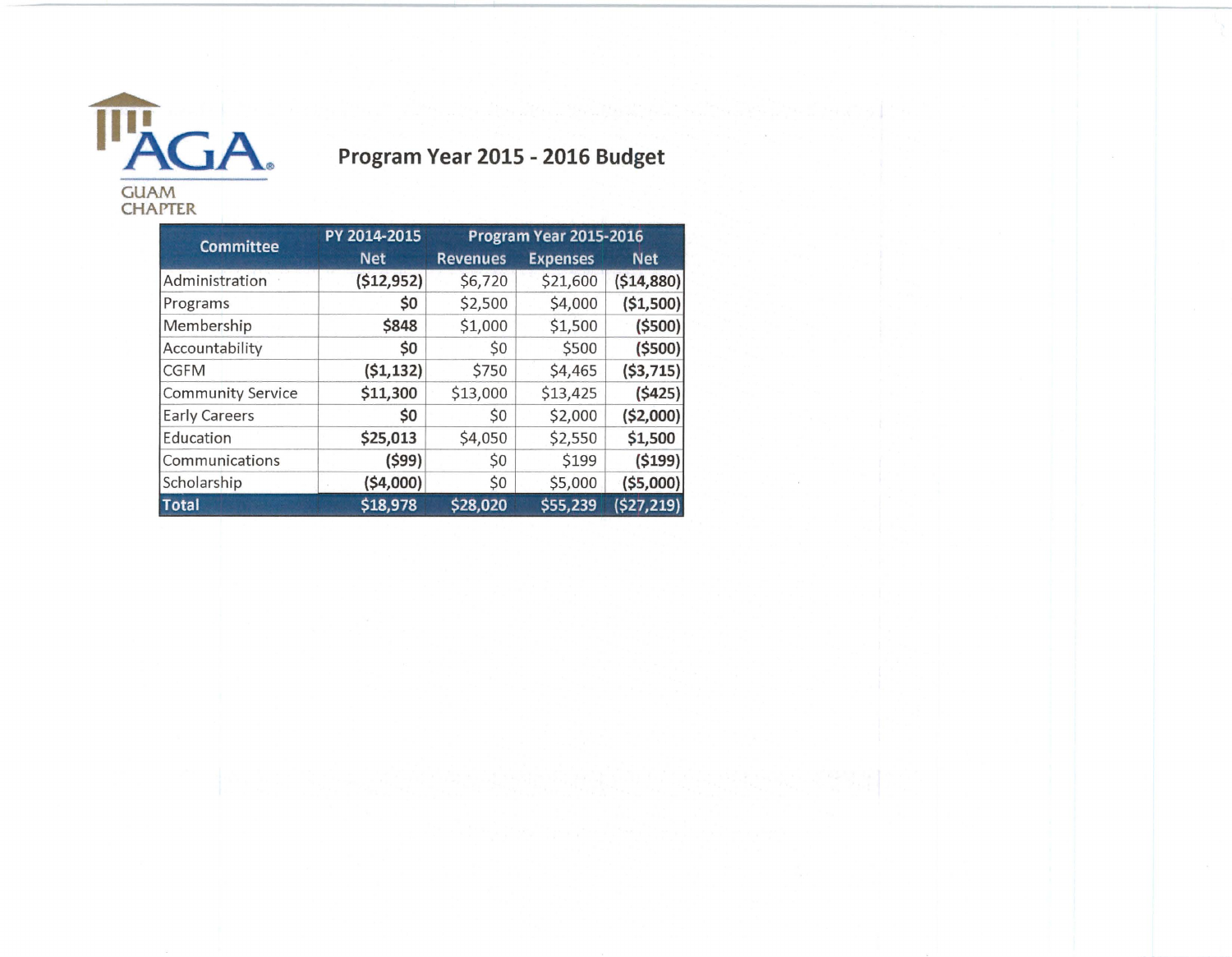

## **Program Year 2015 - 2016 Budget**

PY 2014-2015 Program Year 2015-2016 **Committee Net Revenues Expenses Net** Administration **(\$12,952)** \$6,720 \$21,600 **(\$14,880)**  Programs **\$0** \$2,500 \$4,000 **(\$1,500)**  Membership **\$848** \$1,000 \$1,500 **(\$500)**  Accountability **\$0** \$0 \$500 **(\$500)**  CGFM **(\$1,132)** \$750 \$4,465 **(\$3,715)** Community Service **\$11,300** \$13,000 \$13,425 **(\$425)**  Early Careers **\$0** \$0 \$2,000 **(\$2,000)**  Education **\$25,013** \$4,050 \$2,550 **\$1,500 (\$99)** \$0 \$199 **(\$199)**  Communications Scholarship **(\$4,000)** \$0 \$5,000 **(\$5,000) Total** \$18,978 \$28,020 \$55,239 (\$27,219)